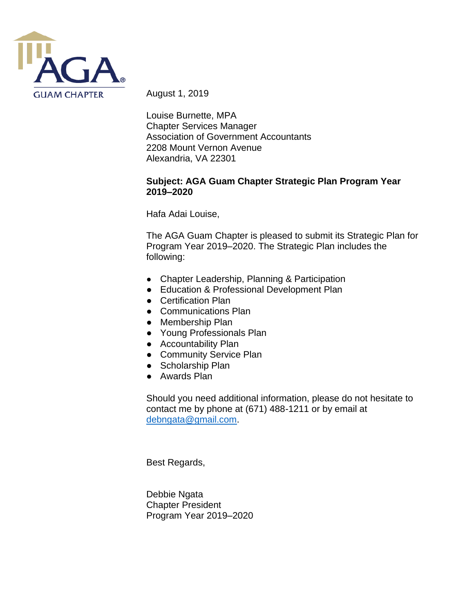

August 1, 2019

Louise Burnette, MPA Chapter Services Manager Association of Government Accountants 2208 Mount Vernon Avenue Alexandria, VA 22301

#### **Subject: AGA Guam Chapter Strategic Plan Program Year 2019–2020**

Hafa Adai Louise,

The AGA Guam Chapter is pleased to submit its Strategic Plan for Program Year 2019–2020. The Strategic Plan includes the following:

- Chapter Leadership, Planning & Participation
- Education & Professional Development Plan
- Certification Plan
- Communications Plan
- Membership Plan
- Young Professionals Plan
- Accountability Plan
- Community Service Plan
- Scholarship Plan
- Awards Plan

Should you need additional information, please do not hesitate to contact me by phone at (671) 488-1211 or by email at [debngata@gmail.com.](mailto:debngata@gmail.com)

Best Regards,

Debbie Ngata Chapter President Program Year 2019–2020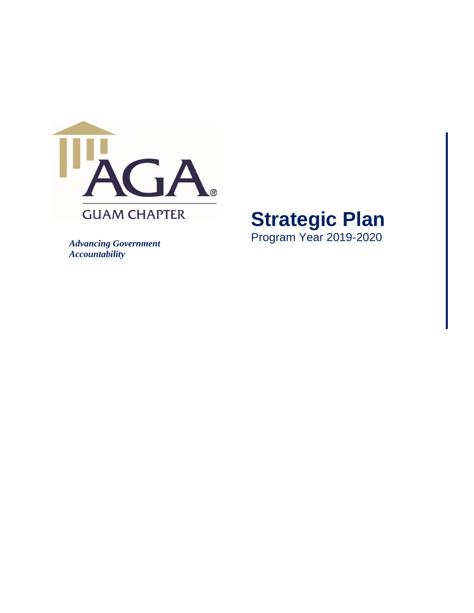

## **Strategic Plan**  Program Year 2019 ‐2020

*Advancing Government Accountability*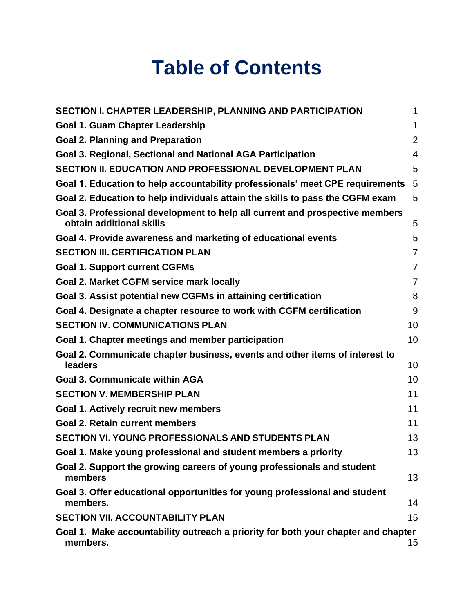# **Table of Contents**

| SECTION I. CHAPTER LEADERSHIP, PLANNING AND PARTICIPATION                                                | 1              |
|----------------------------------------------------------------------------------------------------------|----------------|
| <b>Goal 1. Guam Chapter Leadership</b>                                                                   | 1              |
| <b>Goal 2. Planning and Preparation</b>                                                                  | $\overline{2}$ |
| Goal 3. Regional, Sectional and National AGA Participation                                               | $\overline{4}$ |
| SECTION II. EDUCATION AND PROFESSIONAL DEVELOPMENT PLAN                                                  | 5              |
| Goal 1. Education to help accountability professionals' meet CPE requirements                            | 5              |
| Goal 2. Education to help individuals attain the skills to pass the CGFM exam                            | 5              |
| Goal 3. Professional development to help all current and prospective members<br>obtain additional skills | 5              |
| Goal 4. Provide awareness and marketing of educational events                                            | 5              |
| <b>SECTION III. CERTIFICATION PLAN</b>                                                                   | $\overline{7}$ |
| <b>Goal 1. Support current CGFMs</b>                                                                     | $\overline{7}$ |
| <b>Goal 2. Market CGFM service mark locally</b>                                                          | $\overline{7}$ |
| Goal 3. Assist potential new CGFMs in attaining certification                                            | 8              |
| Goal 4. Designate a chapter resource to work with CGFM certification                                     | 9              |
| <b>SECTION IV. COMMUNICATIONS PLAN</b>                                                                   | 10             |
| Goal 1. Chapter meetings and member participation                                                        | 10             |
| Goal 2. Communicate chapter business, events and other items of interest to<br>leaders                   | 10             |
| <b>Goal 3. Communicate within AGA</b>                                                                    | 10             |
| <b>SECTION V. MEMBERSHIP PLAN</b>                                                                        | 11             |
| Goal 1. Actively recruit new members                                                                     | 11             |
| <b>Goal 2. Retain current members</b>                                                                    | 11             |
| <b>SECTION VI. YOUNG PROFESSIONALS AND STUDENTS PLAN</b>                                                 | 13             |
| Goal 1. Make young professional and student members a priority                                           | 13             |
| Goal 2. Support the growing careers of young professionals and student<br>members                        | 13             |
| Goal 3. Offer educational opportunities for young professional and student<br>members.                   | 14             |
| <b>SECTION VII. ACCOUNTABILITY PLAN</b>                                                                  | 15             |
| Goal 1. Make accountability outreach a priority for both your chapter and chapter<br>members.            | 15             |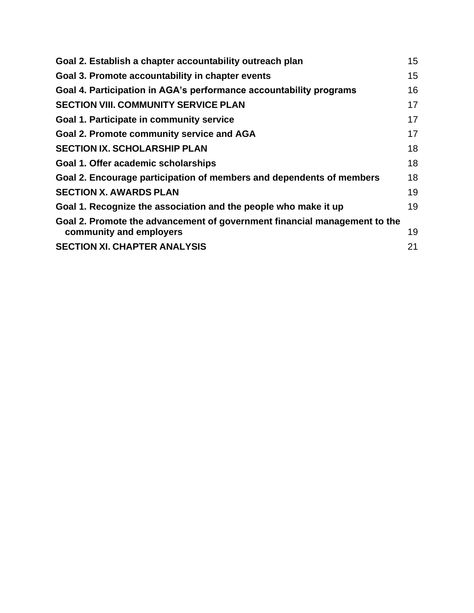| Goal 3. Promote accountability in chapter events<br>Goal 4. Participation in AGA's performance accountability programs<br><b>SECTION VIII. COMMUNITY SERVICE PLAN</b><br>Goal 1. Participate in community service<br>17<br><b>Goal 2. Promote community service and AGA</b><br><b>SECTION IX. SCHOLARSHIP PLAN</b><br>Goal 1. Offer academic scholarships<br>Goal 2. Encourage participation of members and dependents of members<br><b>SECTION X. AWARDS PLAN</b><br>Goal 1. Recognize the association and the people who make it up<br>Goal 2. Promote the advancement of government financial management to the<br>community and employers<br><b>SECTION XI. CHAPTER ANALYSIS</b><br>21 | Goal 2. Establish a chapter accountability outreach plan | 15 |
|--------------------------------------------------------------------------------------------------------------------------------------------------------------------------------------------------------------------------------------------------------------------------------------------------------------------------------------------------------------------------------------------------------------------------------------------------------------------------------------------------------------------------------------------------------------------------------------------------------------------------------------------------------------------------------------------|----------------------------------------------------------|----|
|                                                                                                                                                                                                                                                                                                                                                                                                                                                                                                                                                                                                                                                                                            |                                                          | 15 |
|                                                                                                                                                                                                                                                                                                                                                                                                                                                                                                                                                                                                                                                                                            |                                                          | 16 |
|                                                                                                                                                                                                                                                                                                                                                                                                                                                                                                                                                                                                                                                                                            |                                                          | 17 |
|                                                                                                                                                                                                                                                                                                                                                                                                                                                                                                                                                                                                                                                                                            |                                                          |    |
|                                                                                                                                                                                                                                                                                                                                                                                                                                                                                                                                                                                                                                                                                            |                                                          | 17 |
|                                                                                                                                                                                                                                                                                                                                                                                                                                                                                                                                                                                                                                                                                            |                                                          | 18 |
|                                                                                                                                                                                                                                                                                                                                                                                                                                                                                                                                                                                                                                                                                            |                                                          | 18 |
|                                                                                                                                                                                                                                                                                                                                                                                                                                                                                                                                                                                                                                                                                            |                                                          | 18 |
|                                                                                                                                                                                                                                                                                                                                                                                                                                                                                                                                                                                                                                                                                            |                                                          | 19 |
|                                                                                                                                                                                                                                                                                                                                                                                                                                                                                                                                                                                                                                                                                            |                                                          | 19 |
|                                                                                                                                                                                                                                                                                                                                                                                                                                                                                                                                                                                                                                                                                            |                                                          | 19 |
|                                                                                                                                                                                                                                                                                                                                                                                                                                                                                                                                                                                                                                                                                            |                                                          |    |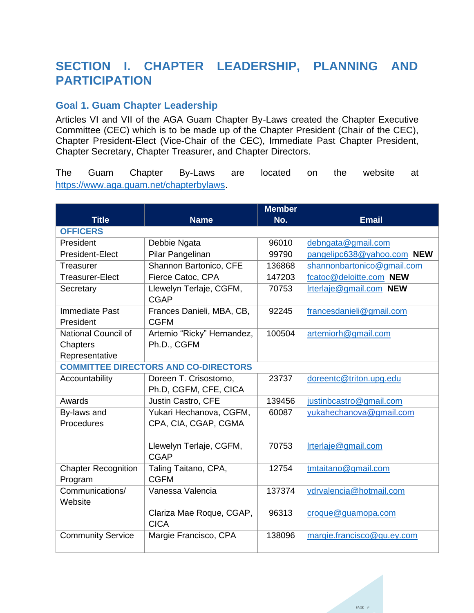### <span id="page-4-0"></span>**SECTION I. CHAPTER LEADERSHIP, PLANNING AND PARTICIPATION**

### <span id="page-4-1"></span>**Goal 1. Guam Chapter Leadership**

Articles VI and VII of the AGA Guam Chapter By-Laws created the Chapter Executive Committee (CEC) which is to be made up of the Chapter President (Chair of the CEC), Chapter President-Elect (Vice-Chair of the CEC), Immediate Past Chapter President, Chapter Secretary, Chapter Treasurer, and Chapter Directors.

The Guam Chapter By-Laws are located on the website at [https://www.aga.guam.net/chapterbylaws.](https://www.aga.guam.net/chapterbylaws)

| <b>Title</b>                                | <b>Name</b>                | <b>Member</b><br>No. | <b>Email</b>               |
|---------------------------------------------|----------------------------|----------------------|----------------------------|
| <b>OFFICERS</b>                             |                            |                      |                            |
| President                                   | Debbie Ngata               | 96010                | debngata@gmail.com         |
| President-Elect                             | Pilar Pangelinan           | 99790                | pangelipc638@yahoo.com NEW |
| Treasurer                                   | Shannon Bartonico, CFE     | 136868               | shannonbartonico@gmail.com |
| <b>Treasurer-Elect</b>                      | Fierce Catoc, CPA          | 147203               | fcatoc@deloitte.com NEW    |
| Secretary                                   | Llewelyn Terlaje, CGFM,    | 70753                | Irterlaje@gmail.com NEW    |
|                                             | <b>CGAP</b>                |                      |                            |
| <b>Immediate Past</b>                       | Frances Danieli, MBA, CB,  | 92245                | francesdanieli@gmail.com   |
| President                                   | <b>CGFM</b>                |                      |                            |
| National Council of                         | Artemio "Ricky" Hernandez, | 100504               | artemiorh@gmail.com        |
| Chapters                                    | Ph.D., CGFM                |                      |                            |
| Representative                              |                            |                      |                            |
| <b>COMMITTEE DIRECTORS AND CO-DIRECTORS</b> |                            |                      |                            |
| Accountability                              | Doreen T. Crisostomo,      | 23737                | doreentc@triton.upg.edu    |
|                                             | Ph.D, CGFM, CFE, CICA      |                      |                            |
| Awards                                      | Justin Castro, CFE         | 139456               | justinbcastro@gmail.com    |
| By-laws and                                 | Yukari Hechanova, CGFM,    | 60087                | yukahechanova@gmail.com    |
| Procedures                                  | CPA, CIA, CGAP, CGMA       |                      |                            |
|                                             |                            |                      |                            |
|                                             | Llewelyn Terlaje, CGFM,    | 70753                | Irterlaje@gmail.com        |
|                                             | <b>CGAP</b>                |                      |                            |
| <b>Chapter Recognition</b>                  | Taling Taitano, CPA,       | 12754                | tmtaitano@gmail.com        |
| Program                                     | <b>CGFM</b>                |                      |                            |
| Communications/                             | Vanessa Valencia           | 137374               | vdrvalencia@hotmail.com    |
| Website                                     |                            |                      |                            |
|                                             | Clariza Mae Roque, CGAP,   | 96313                | croque@guamopa.com         |
|                                             | <b>CICA</b>                |                      |                            |
| <b>Community Service</b>                    | Margie Francisco, CPA      | 138096               | margie.francisco@gu.ey.com |
|                                             |                            |                      |                            |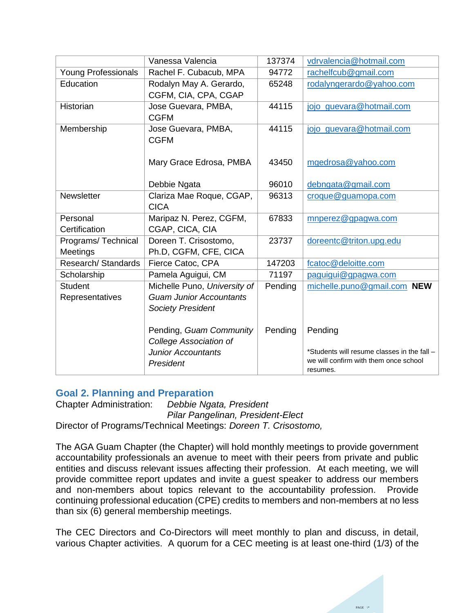|                            | Vanessa Valencia                        | 137374  | vdrvalencia@hotmail.com                     |
|----------------------------|-----------------------------------------|---------|---------------------------------------------|
| <b>Young Professionals</b> | Rachel F. Cubacub, MPA                  | 94772   | rachelfcub@gmail.com                        |
| Education                  | Rodalyn May A. Gerardo,                 | 65248   | rodalyngerardo@yahoo.com                    |
|                            | CGFM, CIA, CPA, CGAP                    |         |                                             |
| Historian                  | Jose Guevara, PMBA,                     | 44115   | jojo_guevara@hotmail.com                    |
|                            | <b>CGFM</b>                             |         |                                             |
| Membership                 | Jose Guevara, PMBA,                     | 44115   | jojo_guevara@hotmail.com                    |
|                            | <b>CGFM</b>                             |         |                                             |
|                            |                                         |         |                                             |
|                            | Mary Grace Edrosa, PMBA                 | 43450   | mgedrosa@yahoo.com                          |
|                            |                                         | 96010   |                                             |
|                            | Debbie Ngata                            |         | debngata@gmail.com                          |
| <b>Newsletter</b>          | Clariza Mae Roque, CGAP,<br><b>CICA</b> | 96313   | croque@guamopa.com                          |
| Personal                   | Maripaz N. Perez, CGFM,                 | 67833   | mnperez@gpagwa.com                          |
| Certification              | CGAP, CICA, CIA                         |         |                                             |
|                            |                                         |         |                                             |
| Programs/Technical         | Doreen T. Crisostomo,                   | 23737   | doreentc@triton.upg.edu                     |
| Meetings                   | Ph.D, CGFM, CFE, CICA                   |         |                                             |
| Research/Standards         | Fierce Catoc, CPA                       | 147203  | fcatoc@deloitte.com                         |
| Scholarship                | Pamela Aguigui, CM                      | 71197   | paquiqui@gpagwa.com                         |
| <b>Student</b>             | Michelle Puno, University of            | Pending | michelle.puno@gmail.com NEW                 |
| Representatives            | <b>Guam Junior Accountants</b>          |         |                                             |
|                            | <b>Society President</b>                |         |                                             |
|                            |                                         |         |                                             |
|                            | Pending, Guam Community                 | Pending | Pending                                     |
|                            | College Association of                  |         |                                             |
|                            | <b>Junior Accountants</b>               |         | *Students will resume classes in the fall - |
|                            | President                               |         | we will confirm with them once school       |
|                            |                                         |         | resumes.                                    |

#### <span id="page-5-0"></span>**Goal 2. Planning and Preparation**

Chapter Administration: *Debbie Ngata, President Pilar Pangelinan, President-Elect* Director of Programs/Technical Meetings: *Doreen T. Crisostomo,* 

The AGA Guam Chapter (the Chapter) will hold monthly meetings to provide government accountability professionals an avenue to meet with their peers from private and public entities and discuss relevant issues affecting their profession. At each meeting, we will provide committee report updates and invite a guest speaker to address our members and non-members about topics relevant to the accountability profession. Provide continuing professional education (CPE) credits to members and non-members at no less than six (6) general membership meetings.

The CEC Directors and Co-Directors will meet monthly to plan and discuss, in detail, various Chapter activities. A quorum for a CEC meeting is at least one-third (1/3) of the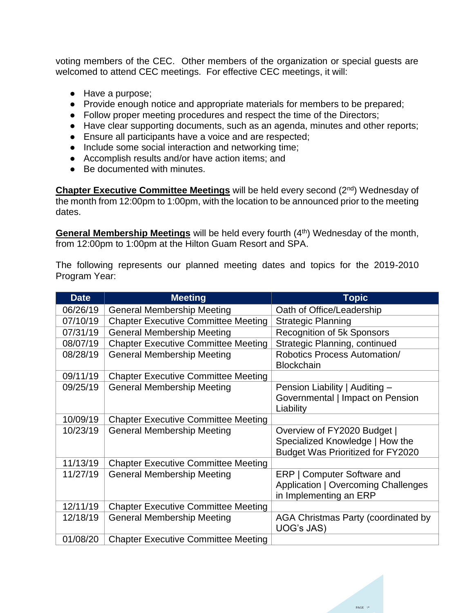voting members of the CEC. Other members of the organization or special guests are welcomed to attend CEC meetings. For effective CEC meetings, it will:

- Have a purpose;
- Provide enough notice and appropriate materials for members to be prepared;
- Follow proper meeting procedures and respect the time of the Directors;
- Have clear supporting documents, such as an agenda, minutes and other reports;
- Ensure all participants have a voice and are respected;
- Include some social interaction and networking time;
- Accomplish results and/or have action items; and
- Be documented with minutes.

**Chapter Executive Committee Meetings** will be held every second (2<sup>nd</sup>) Wednesday of the month from 12:00pm to 1:00pm, with the location to be announced prior to the meeting dates.

**General Membership Meetings** will be held every fourth (4<sup>th</sup>) Wednesday of the month, from 12:00pm to 1:00pm at the Hilton Guam Resort and SPA.

The following represents our planned meeting dates and topics for the 2019-2010 Program Year:

| <b>Date</b> | <b>Meeting</b>                             | <b>Topic</b>                                                                                               |
|-------------|--------------------------------------------|------------------------------------------------------------------------------------------------------------|
| 06/26/19    | <b>General Membership Meeting</b>          | Oath of Office/Leadership                                                                                  |
| 07/10/19    | <b>Chapter Executive Committee Meeting</b> | <b>Strategic Planning</b>                                                                                  |
| 07/31/19    | <b>General Membership Meeting</b>          | <b>Recognition of 5k Sponsors</b>                                                                          |
| 08/07/19    | <b>Chapter Executive Committee Meeting</b> | Strategic Planning, continued                                                                              |
| 08/28/19    | <b>General Membership Meeting</b>          | Robotics Process Automation/<br><b>Blockchain</b>                                                          |
| 09/11/19    | <b>Chapter Executive Committee Meeting</b> |                                                                                                            |
| 09/25/19    | <b>General Membership Meeting</b>          | Pension Liability   Auditing -<br>Governmental   Impact on Pension<br>Liability                            |
| 10/09/19    | <b>Chapter Executive Committee Meeting</b> |                                                                                                            |
| 10/23/19    | <b>General Membership Meeting</b>          | Overview of FY2020 Budget  <br>Specialized Knowledge   How the<br><b>Budget Was Prioritized for FY2020</b> |
| 11/13/19    | <b>Chapter Executive Committee Meeting</b> |                                                                                                            |
| 11/27/19    | <b>General Membership Meeting</b>          | ERP   Computer Software and<br>Application   Overcoming Challenges<br>in Implementing an ERP               |
| 12/11/19    | <b>Chapter Executive Committee Meeting</b> |                                                                                                            |
| 12/18/19    | <b>General Membership Meeting</b>          | AGA Christmas Party (coordinated by<br>UOG's JAS)                                                          |
| 01/08/20    | <b>Chapter Executive Committee Meeting</b> |                                                                                                            |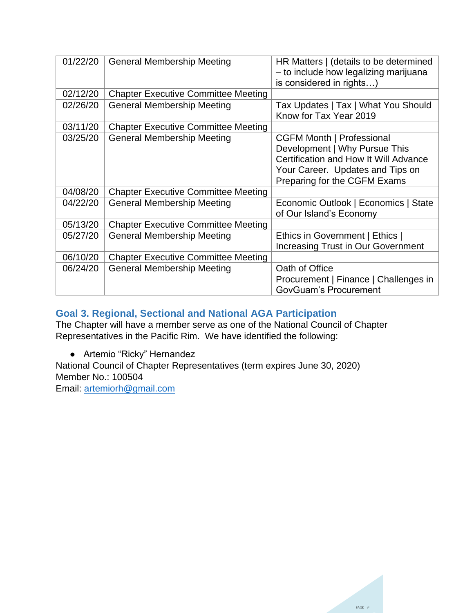| 01/22/20 | <b>General Membership Meeting</b>          | HR Matters   (details to be determined<br>- to include how legalizing marijuana<br>is considered in rights)                                                                    |
|----------|--------------------------------------------|--------------------------------------------------------------------------------------------------------------------------------------------------------------------------------|
| 02/12/20 | <b>Chapter Executive Committee Meeting</b> |                                                                                                                                                                                |
| 02/26/20 | <b>General Membership Meeting</b>          | Tax Updates   Tax   What You Should<br>Know for Tax Year 2019                                                                                                                  |
| 03/11/20 | <b>Chapter Executive Committee Meeting</b> |                                                                                                                                                                                |
| 03/25/20 | <b>General Membership Meeting</b>          | <b>CGFM Month   Professional</b><br>Development   Why Pursue This<br>Certification and How It Will Advance<br>Your Career. Updates and Tips on<br>Preparing for the CGFM Exams |
| 04/08/20 | <b>Chapter Executive Committee Meeting</b> |                                                                                                                                                                                |
| 04/22/20 | <b>General Membership Meeting</b>          | Economic Outlook   Economics   State<br>of Our Island's Economy                                                                                                                |
| 05/13/20 | <b>Chapter Executive Committee Meeting</b> |                                                                                                                                                                                |
| 05/27/20 | <b>General Membership Meeting</b>          | Ethics in Government   Ethics  <br><b>Increasing Trust in Our Government</b>                                                                                                   |
| 06/10/20 | <b>Chapter Executive Committee Meeting</b> |                                                                                                                                                                                |
| 06/24/20 | <b>General Membership Meeting</b>          | Oath of Office<br>Procurement   Finance   Challenges in<br><b>GovGuam's Procurement</b>                                                                                        |

### <span id="page-7-0"></span>**Goal 3. Regional, Sectional and National AGA Participation**

The Chapter will have a member serve as one of the National Council of Chapter Representatives in the Pacific Rim. We have identified the following:

● Artemio "Ricky" Hernandez

National Council of Chapter Representatives (term expires June 30, 2020) Member No.: 100504

Email: [artemiorh@gmail.com](mailto:artemiorh@gmail.com)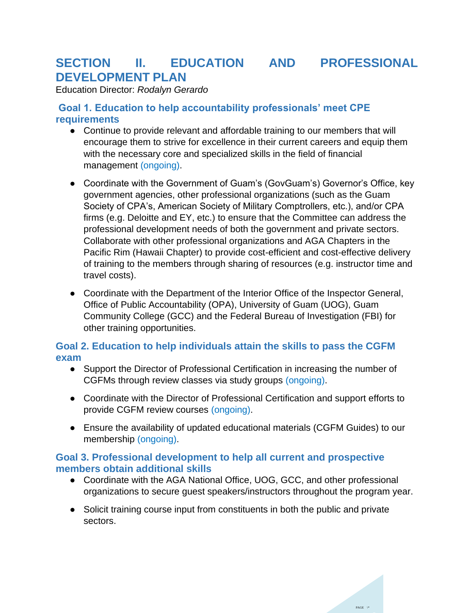### <span id="page-8-0"></span>**SECTION II. EDUCATION AND PROFESSIONAL DEVELOPMENT PLAN**

Education Director: *Rodalyn Gerardo*

### <span id="page-8-1"></span>**Goal 1. Education to help accountability professionals' meet CPE requirements**

- Continue to provide relevant and affordable training to our members that will encourage them to strive for excellence in their current careers and equip them with the necessary core and specialized skills in the field of financial management (ongoing).
- Coordinate with the Government of Guam's (GovGuam's) Governor's Office, key government agencies, other professional organizations (such as the Guam Society of CPA's, American Society of Military Comptrollers, etc.), and/or CPA firms (e.g. Deloitte and EY, etc.) to ensure that the Committee can address the professional development needs of both the government and private sectors. Collaborate with other professional organizations and AGA Chapters in the Pacific Rim (Hawaii Chapter) to provide cost-efficient and cost-effective delivery of training to the members through sharing of resources (e.g. instructor time and travel costs).
- Coordinate with the Department of the Interior Office of the Inspector General, Office of Public Accountability (OPA), University of Guam (UOG), Guam Community College (GCC) and the Federal Bureau of Investigation (FBI) for other training opportunities.

### <span id="page-8-2"></span>**Goal 2. Education to help individuals attain the skills to pass the CGFM exam**

- Support the Director of Professional Certification in increasing the number of CGFMs through review classes via study groups (ongoing).
- Coordinate with the Director of Professional Certification and support efforts to provide CGFM review courses (ongoing).
- Ensure the availability of updated educational materials (CGFM Guides) to our membership (ongoing).

### <span id="page-8-3"></span>**Goal 3. Professional development to help all current and prospective members obtain additional skills**

- Coordinate with the AGA National Office, UOG, GCC, and other professional organizations to secure guest speakers/instructors throughout the program year.
- Solicit training course input from constituents in both the public and private sectors.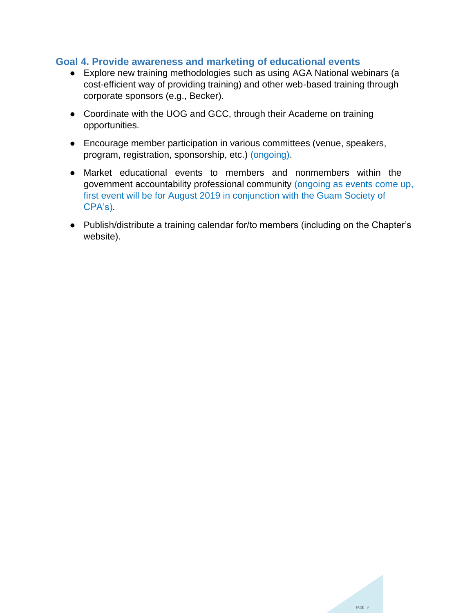#### <span id="page-9-0"></span>**Goal 4. Provide awareness and marketing of educational events**

- Explore new training methodologies such as using AGA National webinars (a cost-efficient way of providing training) and other web-based training through corporate sponsors (e.g., Becker).
- Coordinate with the UOG and GCC, through their Academe on training opportunities.
- Encourage member participation in various committees (venue, speakers, program, registration, sponsorship, etc.) (ongoing).
- Market educational events to members and nonmembers within the government accountability professional community (ongoing as events come up, first event will be for August 2019 in conjunction with the Guam Society of CPA's).
- Publish/distribute a training calendar for/to members (including on the Chapter's website).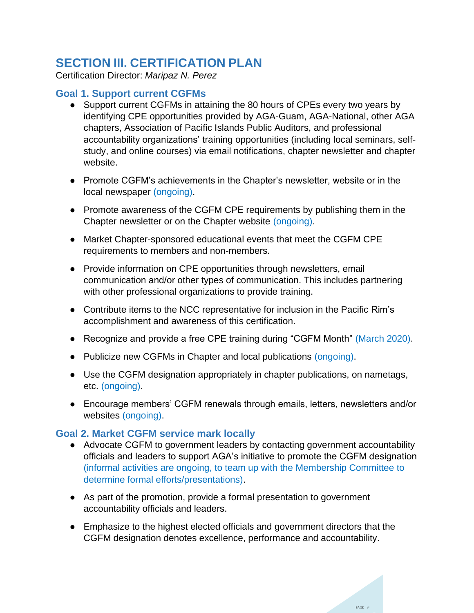### <span id="page-10-0"></span>**SECTION III. CERTIFICATION PLAN**

Certification Director: *Maripaz N. Perez*

### <span id="page-10-1"></span>**Goal 1. Support current CGFMs**

- Support current CGFMs in attaining the 80 hours of CPEs every two years by identifying CPE opportunities provided by AGA-Guam, AGA-National, other AGA chapters, Association of Pacific Islands Public Auditors, and professional accountability organizations' training opportunities (including local seminars, selfstudy, and online courses) via email notifications, chapter newsletter and chapter website.
- Promote CGFM's achievements in the Chapter's newsletter, website or in the local newspaper (ongoing).
- Promote awareness of the CGFM CPE requirements by publishing them in the Chapter newsletter or on the Chapter website (ongoing).
- Market Chapter-sponsored educational events that meet the CGFM CPE requirements to members and non-members.
- Provide information on CPE opportunities through newsletters, email communication and/or other types of communication. This includes partnering with other professional organizations to provide training.
- Contribute items to the NCC representative for inclusion in the Pacific Rim's accomplishment and awareness of this certification.
- Recognize and provide a free CPE training during "CGFM Month" (March 2020).
- Publicize new CGFMs in Chapter and local publications (ongoing).
- Use the CGFM designation appropriately in chapter publications, on nametags, etc. (ongoing).
- Encourage members' CGFM renewals through emails, letters, newsletters and/or websites (ongoing).

### <span id="page-10-2"></span>**Goal 2. Market CGFM service mark locally**

- Advocate CGFM to government leaders by contacting government accountability officials and leaders to support AGA's initiative to promote the CGFM designation (informal activities are ongoing, to team up with the Membership Committee to determine formal efforts/presentations).
- As part of the promotion, provide a formal presentation to government accountability officials and leaders.
- Emphasize to the highest elected officials and government directors that the CGFM designation denotes excellence, performance and accountability.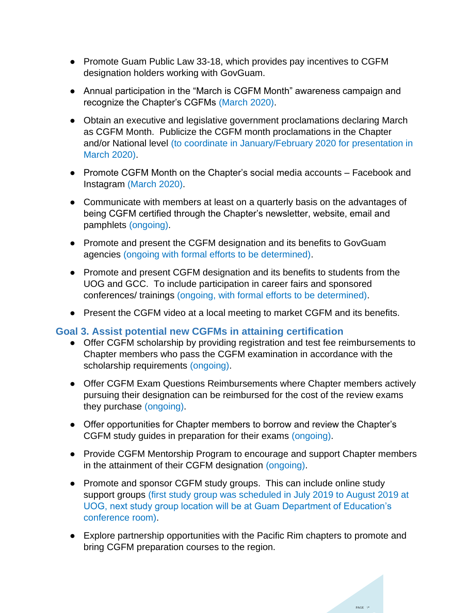- Promote Guam Public Law 33-18, which provides pay incentives to CGFM designation holders working with GovGuam.
- Annual participation in the "March is CGFM Month" awareness campaign and recognize the Chapter's CGFMs (March 2020).
- Obtain an executive and legislative government proclamations declaring March as CGFM Month. Publicize the CGFM month proclamations in the Chapter and/or National level (to coordinate in January/February 2020 for presentation in March 2020).
- Promote CGFM Month on the Chapter's social media accounts Facebook and Instagram (March 2020).
- Communicate with members at least on a quarterly basis on the advantages of being CGFM certified through the Chapter's newsletter, website, email and pamphlets (ongoing).
- Promote and present the CGFM designation and its benefits to GovGuam agencies (ongoing with formal efforts to be determined).
- Promote and present CGFM designation and its benefits to students from the UOG and GCC. To include participation in career fairs and sponsored conferences/ trainings (ongoing, with formal efforts to be determined).
- Present the CGFM video at a local meeting to market CGFM and its benefits.

#### <span id="page-11-0"></span>**Goal 3. Assist potential new CGFMs in attaining certification**

- Offer CGFM scholarship by providing registration and test fee reimbursements to Chapter members who pass the CGFM examination in accordance with the scholarship requirements (ongoing).
- Offer CGFM Exam Questions Reimbursements where Chapter members actively pursuing their designation can be reimbursed for the cost of the review exams they purchase (ongoing).
- Offer opportunities for Chapter members to borrow and review the Chapter's CGFM study guides in preparation for their exams (ongoing).
- Provide CGFM Mentorship Program to encourage and support Chapter members in the attainment of their CGFM designation (ongoing).
- Promote and sponsor CGFM study groups. This can include online study support groups (first study group was scheduled in July 2019 to August 2019 at UOG, next study group location will be at Guam Department of Education's conference room).
- Explore partnership opportunities with the Pacific Rim chapters to promote and bring CGFM preparation courses to the region.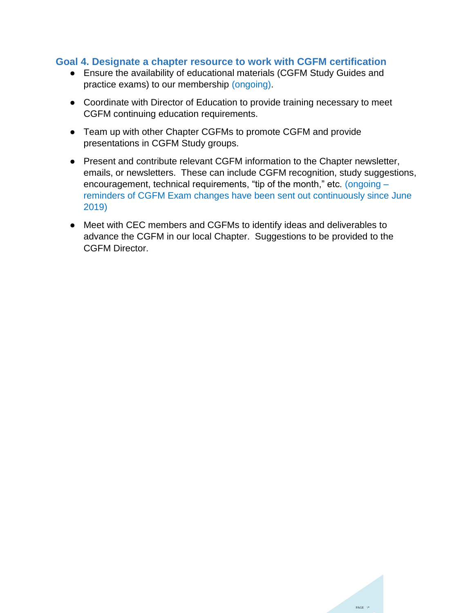#### <span id="page-12-0"></span>**Goal 4. Designate a chapter resource to work with CGFM certification**

- Ensure the availability of educational materials (CGFM Study Guides and practice exams) to our membership (ongoing).
- Coordinate with Director of Education to provide training necessary to meet CGFM continuing education requirements.
- Team up with other Chapter CGFMs to promote CGFM and provide presentations in CGFM Study groups.
- Present and contribute relevant CGFM information to the Chapter newsletter, emails, or newsletters. These can include CGFM recognition, study suggestions, encouragement, technical requirements, "tip of the month," etc. (ongoing reminders of CGFM Exam changes have been sent out continuously since June 2019)
- Meet with CEC members and CGFMs to identify ideas and deliverables to advance the CGFM in our local Chapter. Suggestions to be provided to the CGFM Director.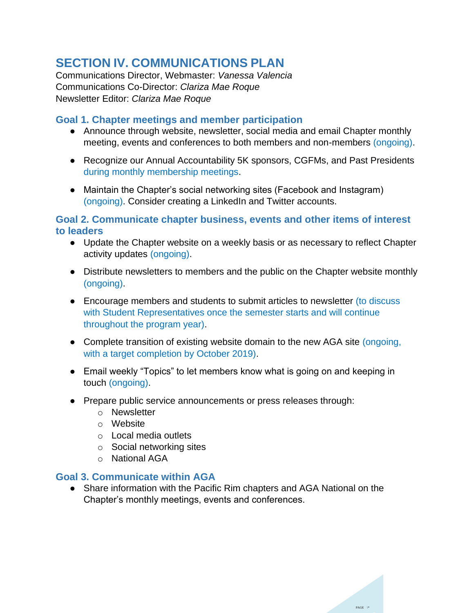### <span id="page-13-0"></span>**SECTION IV. COMMUNICATIONS PLAN**

Communications Director, Webmaster: *Vanessa Valencia* Communications Co-Director: *Clariza Mae Roque* Newsletter Editor: *Clariza Mae Roque*

### <span id="page-13-1"></span>**Goal 1. Chapter meetings and member participation**

- Announce through website, newsletter, social media and email Chapter monthly meeting, events and conferences to both members and non-members (ongoing).
- Recognize our Annual Accountability 5K sponsors, CGFMs, and Past Presidents during monthly membership meetings.
- Maintain the Chapter's social networking sites (Facebook and Instagram) (ongoing). Consider creating a LinkedIn and Twitter accounts.

<span id="page-13-2"></span>**Goal 2. Communicate chapter business, events and other items of interest to leaders**

- Update the Chapter website on a weekly basis or as necessary to reflect Chapter activity updates (ongoing).
- Distribute newsletters to members and the public on the Chapter website monthly (ongoing).
- Encourage members and students to submit articles to newsletter (to discuss with Student Representatives once the semester starts and will continue throughout the program year).
- Complete transition of existing website domain to the new AGA site (ongoing, with a target completion by October 2019).
- Email weekly "Topics" to let members know what is going on and keeping in touch (ongoing).
- Prepare public service announcements or press releases through:
	- o Newsletter
	- o Website
	- o Local media outlets
	- o Social networking sites
	- o National AGA

#### <span id="page-13-3"></span>**Goal 3. Communicate within AGA**

● Share information with the Pacific Rim chapters and AGA National on the Chapter's monthly meetings, events and conferences.

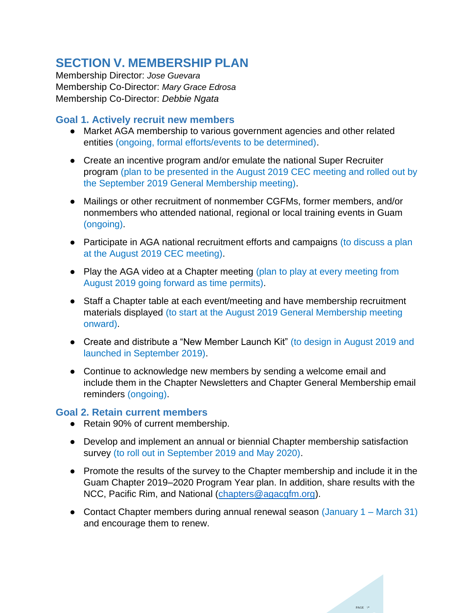### <span id="page-14-0"></span>**SECTION V. MEMBERSHIP PLAN**

Membership Director: *Jose Guevara* Membership Co-Director: *Mary Grace Edrosa* Membership Co-Director: *Debbie Ngata*

### <span id="page-14-1"></span>**Goal 1. Actively recruit new members**

- Market AGA membership to various government agencies and other related entities (ongoing, formal efforts/events to be determined).
- Create an incentive program and/or emulate the national Super Recruiter program (plan to be presented in the August 2019 CEC meeting and rolled out by the September 2019 General Membership meeting).
- Mailings or other recruitment of nonmember CGFMs, former members, and/or nonmembers who attended national, regional or local training events in Guam (ongoing).
- Participate in AGA national recruitment efforts and campaigns (to discuss a plan at the August 2019 CEC meeting).
- Play the AGA video at a Chapter meeting (plan to play at every meeting from August 2019 going forward as time permits).
- Staff a Chapter table at each event/meeting and have membership recruitment materials displayed (to start at the August 2019 General Membership meeting onward).
- Create and distribute a "New Member Launch Kit" (to design in August 2019 and launched in September 2019).
- Continue to acknowledge new members by sending a welcome email and include them in the Chapter Newsletters and Chapter General Membership email reminders (ongoing).

#### <span id="page-14-2"></span>**Goal 2. Retain current members**

- Retain 90% of current membership.
- Develop and implement an annual or biennial Chapter membership satisfaction survey (to roll out in September 2019 and May 2020).
- Promote the results of the survey to the Chapter membership and include it in the Guam Chapter 2019–2020 Program Year plan. In addition, share results with the NCC, Pacific Rim, and National [\(chapters@agacgfm.org\).](about:blank)
- Contact Chapter members during annual renewal season (January 1 March 31) and encourage them to renew.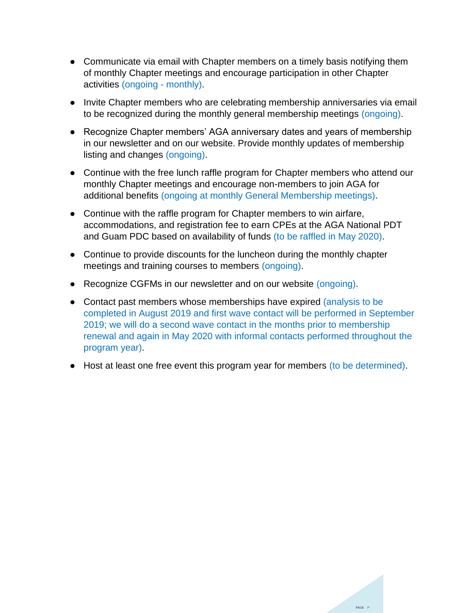- Communicate via email with Chapter members on a timely basis notifying them of monthly Chapter meetings and encourage participation in other Chapter activities (ongoing - monthly).
- Invite Chapter members who are celebrating membership anniversaries via email to be recognized during the monthly general membership meetings (ongoing).
- Recognize Chapter members' AGA anniversary dates and years of membership in our newsletter and on our website. Provide monthly updates of membership listing and changes (ongoing).
- Continue with the free lunch raffle program for Chapter members who attend our monthly Chapter meetings and encourage non-members to join AGA for additional benefits (ongoing at monthly General Membership meetings).
- Continue with the raffle program for Chapter members to win airfare, accommodations, and registration fee to earn CPEs at the AGA National PDT and Guam PDC based on availability of funds (to be raffled in May 2020).
- Continue to provide discounts for the luncheon during the monthly chapter meetings and training courses to members (ongoing).
- Recognize CGFMs in our newsletter and on our website (ongoing).
- Contact past members whose memberships have expired (analysis to be completed in August 2019 and first wave contact will be performed in September 2019; we will do a second wave contact in the months prior to membership renewal and again in May 2020 with informal contacts performed throughout the program year).
- Host at least one free event this program year for members (to be determined).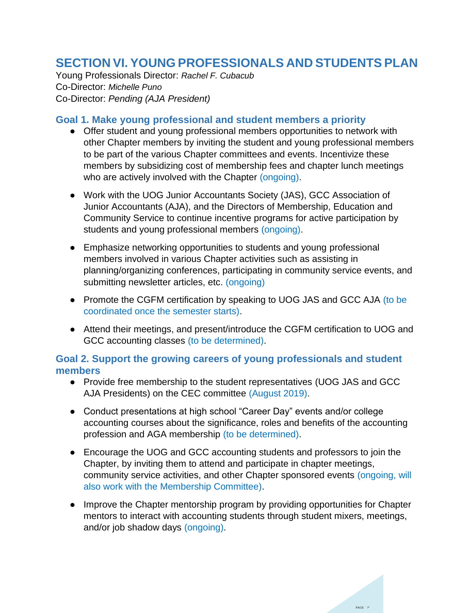### <span id="page-16-0"></span>**SECTION VI. YOUNG PROFESSIONALS AND STUDENTS PLAN**

Young Professionals Director: *Rachel F. Cubacub* Co-Director: *Michelle Puno* Co-Director: *Pending (AJA President)*

#### <span id="page-16-1"></span>**Goal 1. Make young professional and student members a priority**

- Offer student and young professional members opportunities to network with other Chapter members by inviting the student and young professional members to be part of the various Chapter committees and events. Incentivize these members by subsidizing cost of membership fees and chapter lunch meetings who are actively involved with the Chapter (ongoing).
- Work with the UOG Junior Accountants Society (JAS), GCC Association of Junior Accountants (AJA), and the Directors of Membership, Education and Community Service to continue incentive programs for active participation by students and young professional members (ongoing).
- Emphasize networking opportunities to students and young professional members involved in various Chapter activities such as assisting in planning/organizing conferences, participating in community service events, and submitting newsletter articles, etc. (ongoing)
- Promote the CGFM certification by speaking to UOG JAS and GCC AJA (to be coordinated once the semester starts).
- Attend their meetings, and present/introduce the CGFM certification to UOG and GCC accounting classes (to be determined).

### <span id="page-16-2"></span>**Goal 2. Support the growing careers of young professionals and student members**

- Provide free membership to the student representatives (UOG JAS and GCC AJA Presidents) on the CEC committee (August 2019).
- Conduct presentations at high school "Career Day" events and/or college accounting courses about the significance, roles and benefits of the accounting profession and AGA membership (to be determined).
- Encourage the UOG and GCC accounting students and professors to join the Chapter, by inviting them to attend and participate in chapter meetings, community service activities, and other Chapter sponsored events (ongoing, will also work with the Membership Committee).
- Improve the Chapter mentorship program by providing opportunities for Chapter mentors to interact with accounting students through student mixers, meetings, and/or job shadow days (ongoing).

PAGE \\*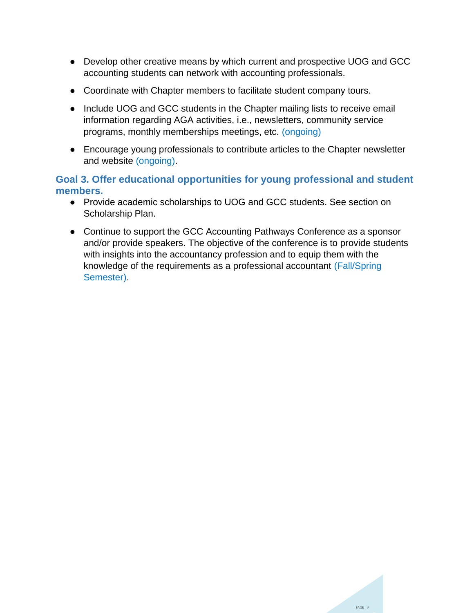- Develop other creative means by which current and prospective UOG and GCC accounting students can network with accounting professionals.
- Coordinate with Chapter members to facilitate student company tours.
- Include UOG and GCC students in the Chapter mailing lists to receive email information regarding AGA activities, i.e., newsletters, community service programs, monthly memberships meetings, etc. (ongoing)
- Encourage young professionals to contribute articles to the Chapter newsletter and website (ongoing).

### <span id="page-17-0"></span>**Goal 3. Offer educational opportunities for young professional and student members.**

- Provide academic scholarships to UOG and GCC students. See section on Scholarship Plan.
- Continue to support the GCC Accounting Pathways Conference as a sponsor and/or provide speakers. The objective of the conference is to provide students with insights into the accountancy profession and to equip them with the knowledge of the requirements as a professional accountant (Fall/Spring Semester).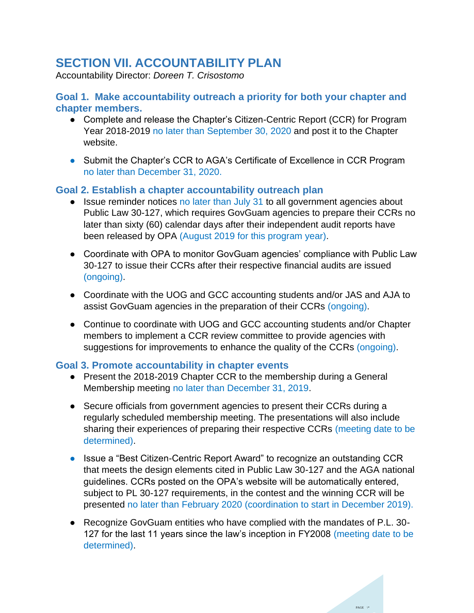### <span id="page-18-0"></span>**SECTION VII. ACCOUNTABILITY PLAN**

Accountability Director: *Doreen T. Crisostomo*

### <span id="page-18-1"></span>**Goal 1. Make accountability outreach a priority for both your chapter and chapter members.**

- Complete and release the Chapter's Citizen-Centric Report (CCR) for Program Year 2018-2019 no later than September 30, 2020 and post it to the Chapter website.
- Submit the Chapter's CCR to AGA's Certificate of Excellence in CCR Program no later than December 31, 2020.

### <span id="page-18-2"></span>**Goal 2. Establish a chapter accountability outreach plan**

- Issue reminder notices no later than July 31 to all government agencies about Public Law 30-127, which requires GovGuam agencies to prepare their CCRs no later than sixty (60) calendar days after their independent audit reports have been released by OPA (August 2019 for this program year).
- Coordinate with OPA to monitor GovGuam agencies' compliance with Public Law 30-127 to issue their CCRs after their respective financial audits are issued (ongoing).
- Coordinate with the UOG and GCC accounting students and/or JAS and AJA to assist GovGuam agencies in the preparation of their CCRs (ongoing).
- Continue to coordinate with UOG and GCC accounting students and/or Chapter members to implement a CCR review committee to provide agencies with suggestions for improvements to enhance the quality of the CCRs (ongoing).

### <span id="page-18-3"></span>**Goal 3. Promote accountability in chapter events**

- Present the 2018-2019 Chapter CCR to the membership during a General Membership meeting no later than December 31, 2019.
- Secure officials from government agencies to present their CCRs during a regularly scheduled membership meeting. The presentations will also include sharing their experiences of preparing their respective CCRs (meeting date to be determined).
- Issue a "Best Citizen-Centric Report Award" to recognize an outstanding CCR that meets the design elements cited in Public Law 30-127 and the AGA national guidelines. CCRs posted on the OPA's website will be automatically entered, subject to PL 30-127 requirements, in the contest and the winning CCR will be presented no later than February 2020 (coordination to start in December 2019).
- Recognize GovGuam entities who have complied with the mandates of P.L. 30-127 for the last 11 years since the law's inception in FY2008 (meeting date to be determined).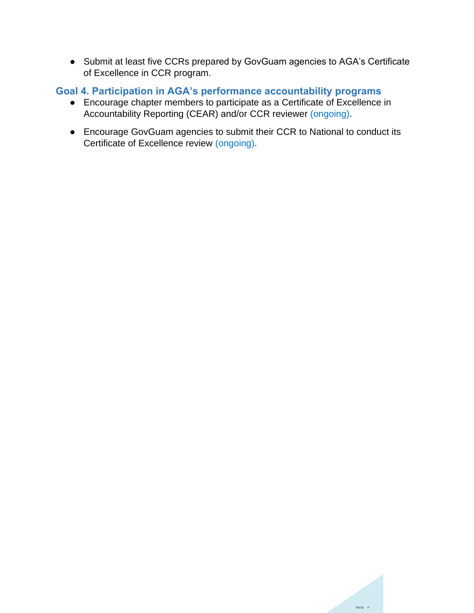● Submit at least five CCRs prepared by GovGuam agencies to AGA's Certificate of Excellence in CCR program.

### <span id="page-19-0"></span>**Goal 4. Participation in AGA's performance accountability programs**

- Encourage chapter members to participate as a Certificate of Excellence in Accountability Reporting (CEAR) and/or CCR reviewer (ongoing).
- Encourage GovGuam agencies to submit their CCR to National to conduct its Certificate of Excellence review (ongoing).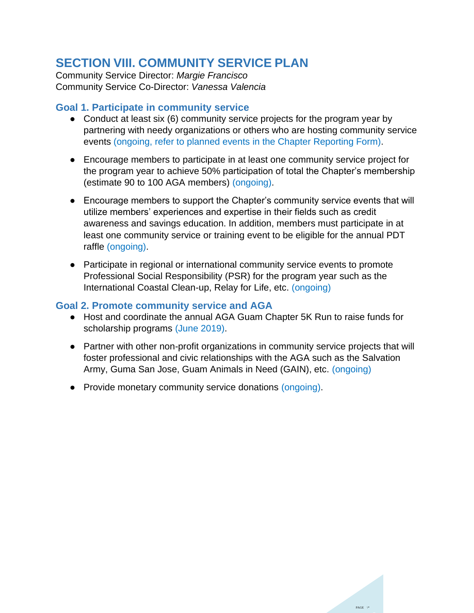### <span id="page-20-0"></span>**SECTION VIII. COMMUNITY SERVICE PLAN**

Community Service Director: *Margie Francisco* Community Service Co-Director: *Vanessa Valencia*

### <span id="page-20-1"></span>**Goal 1. Participate in community service**

- Conduct at least six (6) community service projects for the program year by partnering with needy organizations or others who are hosting community service events (ongoing, refer to planned events in the Chapter Reporting Form).
- Encourage members to participate in at least one community service project for the program year to achieve 50% participation of total the Chapter's membership (estimate 90 to 100 AGA members) (ongoing).
- Encourage members to support the Chapter's community service events that will utilize members' experiences and expertise in their fields such as credit awareness and savings education. In addition, members must participate in at least one community service or training event to be eligible for the annual PDT raffle (ongoing).
- Participate in regional or international community service events to promote Professional Social Responsibility (PSR) for the program year such as the International Coastal Clean-up, Relay for Life, etc. (ongoing)

### <span id="page-20-2"></span>**Goal 2. Promote community service and AGA**

- Host and coordinate the annual AGA Guam Chapter 5K Run to raise funds for scholarship programs (June 2019).
- Partner with other non-profit organizations in community service projects that will foster professional and civic relationships with the AGA such as the Salvation Army, Guma San Jose, Guam Animals in Need (GAIN), etc. (ongoing)
- Provide monetary community service donations (ongoing).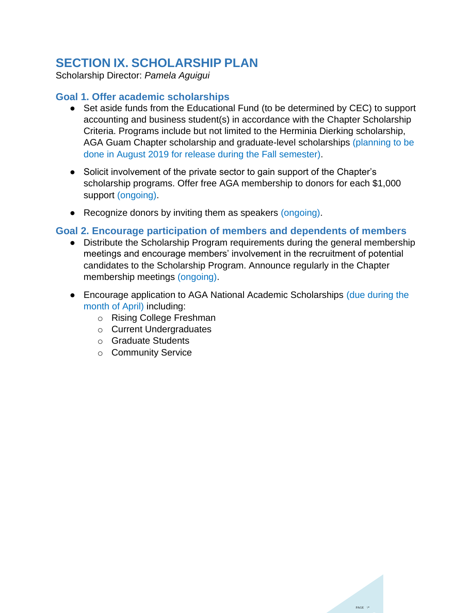### <span id="page-21-0"></span>**SECTION IX. SCHOLARSHIP PLAN**

Scholarship Director: *Pamela Aguigui*

### <span id="page-21-1"></span>**Goal 1. Offer academic scholarships**

- Set aside funds from the Educational Fund (to be determined by CEC) to support accounting and business student(s) in accordance with the Chapter Scholarship Criteria. Programs include but not limited to the Herminia Dierking scholarship, AGA Guam Chapter scholarship and graduate-level scholarships (planning to be done in August 2019 for release during the Fall semester).
- Solicit involvement of the private sector to gain support of the Chapter's scholarship programs. Offer free AGA membership to donors for each \$1,000 support (ongoing).
- Recognize donors by inviting them as speakers (ongoing).

#### <span id="page-21-2"></span>**Goal 2. Encourage participation of members and dependents of members**

- Distribute the Scholarship Program requirements during the general membership meetings and encourage members' involvement in the recruitment of potential candidates to the Scholarship Program. Announce regularly in the Chapter membership meetings (ongoing).
- Encourage application to AGA National Academic Scholarships (due during the month of April) including:
	- o Rising College Freshman
	- o Current Undergraduates
	- o Graduate Students
	- o Community Service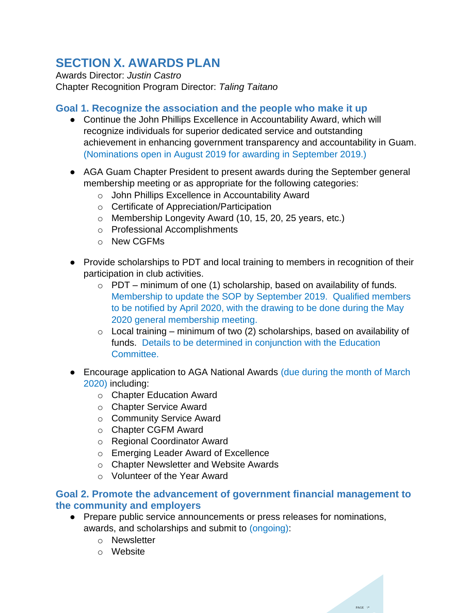### <span id="page-22-0"></span>**SECTION X. AWARDS PLAN**

Awards Director: *Justin Castro* Chapter Recognition Program Director: *Taling Taitano*

### <span id="page-22-1"></span>**Goal 1. Recognize the association and the people who make it up**

- Continue the John Phillips Excellence in Accountability Award, which will recognize individuals for superior dedicated service and outstanding achievement in enhancing government transparency and accountability in Guam. (Nominations open in August 2019 for awarding in September 2019.)
- AGA Guam Chapter President to present awards during the September general membership meeting or as appropriate for the following categories:
	- o John Phillips Excellence in Accountability Award
	- o Certificate of Appreciation/Participation
	- o Membership Longevity Award (10, 15, 20, 25 years, etc.)
	- o Professional Accomplishments
	- o New CGFMs
- Provide scholarships to PDT and local training to members in recognition of their participation in club activities.
	- $\circ$  PDT minimum of one (1) scholarship, based on availability of funds. Membership to update the SOP by September 2019. Qualified members to be notified by April 2020, with the drawing to be done during the May 2020 general membership meeting.
	- $\circ$  Local training minimum of two (2) scholarships, based on availability of funds. Details to be determined in conjunction with the Education Committee.
- Encourage application to AGA National Awards (due during the month of March 2020) including:
	- o Chapter Education Award
	- o Chapter Service Award
	- o Community Service Award
	- o Chapter CGFM Award
	- o Regional Coordinator Award
	- o Emerging Leader Award of Excellence
	- o Chapter Newsletter and Website Awards
	- o Volunteer of the Year Award

### <span id="page-22-2"></span>**Goal 2. Promote the advancement of government financial management to the community and employers**

- Prepare public service announcements or press releases for nominations, awards, and scholarships and submit to (ongoing):
	- o Newsletter
	- o Website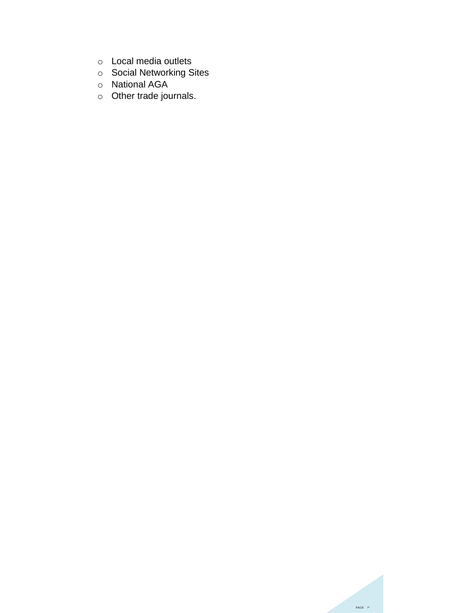- o Local media outlets
- o Social Networking Sites
- o National AGA
- o Other trade journals.